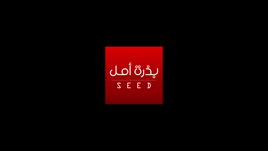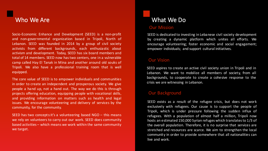## Who We Are

Socio-Economic Enhance and Development (SEED) is a non-profit and non-governmental organization based in Tripoli, North of Lebanon. SEED was founded in 2014 by a group of civil society activists from different backgrounds, each enthusiastic about activism and development. Today, SEED has six board members and total of 14 members. SEED now hastwo centers, one in a vulnerable camp called Hay El Tanak in Mina and another around old souks of Tripoli. We also have a professional training room that is well equipped.

The core value of SEED is to empower individuals and communities in order to create an independent and prosperous society. We give people a hand up, not a hand out. The way we do this is through projects offering education, equipping people with vocational skills, and providing information on matters such as health and legal issues. We encourage volunteering and delivery of services by the community, for the community.

SEED has two concepts:it's a volunteering based NGO – this means we rely on volunteers to carry out our work. SEED does community based activities – which means we work within the same community we target.

## What We Do

### **Our Mission**

SEED is dedicated to investing in Lebanese civil society development by creating a dynamic platform which unites all efforts. We encourage volunteering; foster economic and social engagement; empower individuals; and support cultural initiatives.

### **Our Vision**

SEED aspires to create an active civil society union in Tripoli and in Lebanon. We want to mobilize all members of society, from all backgrounds, to cooperate to create a cohesive response to the crisis we are witnessing in Lebanon.

## Our Background

SEED exists as a result of the refugee crisis, but does not work exclusively with refugees. Our cause is to support the people of Tripoli, which is under pressure following the sudden influx of refugees. With a population of almost half a million, Tripoli now hosts an estimated 150,000 Syrian refuges which translatesto 1/3 of the overall population. Therefore, it is no surprise that services are stretched and resources are scarce. We aim to strengthen the local community in order to provide somewhere that all nationalities can live and work.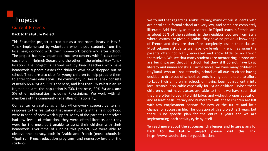## **Current Projects**

#### **Back to the Future Project**

This Education project started out as a one-room library in Hay El Tanak implemented by volunteers who helped students from the local neighborhood with their homework before and after school. The project has now expanded into two centers with 4 classrooms each, one in Nejmeh Square and the other in the original Hay Tanak location. The project is carried out by hired teachers who have homework support classes for children who have dropped out of school. There are also class for young children to help prepare them to enter formal education. The community in Hay El Tanak consists of nearly 65% Syrian, 35% Lebanese, and less than 1% Palestinian. In Nejmeh square, the population is 70% Lebanese, 30% Syrians, and 5% other nationalities including Palestinians. We work with all members of the community regardless of nationality.

Our center originated as a library/homework support centers in response to the realization that many students in the neighborhood were in need of homework support. Many of the parents themselves had low levels of education, they were often illiterate, and they were for the most part unable to assist their children with their homework. Over time of running this project, we were able to observe the literacy, both in Arabic and French (most schools in Tripoli run French education programs) and numeracy levels of the students.

children do not have classes available to them, we have seen that<br>they are often forced into child labor, and without proper education We found that regarding Arabic literacy, many of our students who are enrolled in formal school are very low, and some are completely illiterate. Additionally, as most schools in Tripoli teach in French, and as about 65% of the residents in the neighborhood are from Syria where lessons are given in Arabic, they have no previous knowledge of French and they are therefore completely lost in their classes. Most Lebanese students we have low levels in French, as again the parents often not highly educated and know little to no French themselves. We see that many students are memorizing lessons and are being passed through school, but they still do not have basic literacy and numeracy skills. Furthermore, we have many children in HayTanak who are not attending school at all due to either having decided to drop out of school, parents having been unable to afford to keep their children in school, or having been denied entry into local schools (applicable especially for Syrian children). When these children do not have classes available to them, we have seen that and at least basic literacy and numeracy skills, these children are left with few employment options for now or the future and little chance for success in life. The duration of this project is 3 years but there is no specific plan for the entire 3 years and we are implementing each activity cycle by itself.

**To read more about the successes, challenges and future plans for Back to the Future project please visit this link:** https://www.seednational.org/publications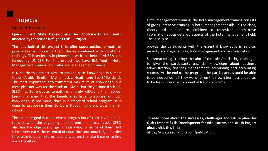### **Current Projects**

**Quick Impact Skills Development for Adolescents and Youth affected by the Syrian Refugee Crisis II Project**

The idea behind this project is to offer opportunities to youth of poor areas by proposing them classes combined with vocational trainings. This project is implemented with the help of ANERA and funded by UNICEF. For this project, we have BLN Youth, Hotel Management training, and Sales and Management training.

BLN Youth: this project aims to provide basic knowledge in 5 main topics (Arabic, English, Mathematics, Health and Sport/life skills). The most important is to transmit a maximum of knowledge in a most pleasant way for the student. Given that they dropped school, SEED has to propose something entirely different than school keeping in mind that the beneficiaries have to acquire as much knowledge, if not more, than in a standard school program. It is done by proposing them to learn through different ways than in school.

The ultimate goal is to observe a progression of their level in each topic between the beginning and the end of the each cycle. SEED also has the objective of giving kids who, for some of them, left school very early, the essential of education and knowledge in order to be able to do an internship and, later on, to make it easier to find a work position.

Hotel management training: the hotel management training consists of giving intensive training in hotel management skills. In the class, theory and practice are combined to transmit comprehensive information about detailed aspects of the hotel management field. The idea is to

provide the participants with the essential knowledge in service, security and hygiene rules, food management and administration.

Sales/marketing training: the aim of the sales/marketing training is to give the participants essential knowledge about business administration, finances management, accounting and accounting records. At the end of the program, the participants should be able to be independent if they want to run their own business and, also, to be less vulnerable to potential frauds or scams.

**To read more about the successes, challenges and future plans for Quick Impact Skills Development for Adolescents and Youth Project please visit this link:**

https://www.seednational.org/publications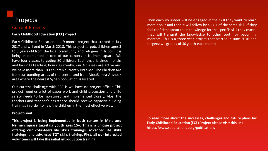## **Current Projects**

### **Early Childhood Education (ECE)Project**

Early Childhood Education is a 9-month project that started in July 2017 and will end in March 2018. This project targets children ages 3 to 5 years old from the local community and refugees in Tripoli. It is being implemented in one of our centers in Nejmeh square. We have four classes targeting 80 children. Each cycle is three months and has 200 teaching hours. Currently, our 4 classes are active and we have more than 100 children currently enrolled. The children are from surrounding areas of the center and from AbouSamra Al shock area where the nearest Syrian population is located.

Our current challenge with ECE is we have no project officer. This project requires a lot of paper work and child protection and child safety needs to be monitored and implemented closely. Alos, the teachers and teacher's assistance should receive capacity building trainings in order to help the children in the most effective way.

#### **ProjectGoal**

**This project is being implemented in both centers in Mina and Nejmeh square targeting youth ages 15+. This is a unique project offering our volunteers life skills trainings, advanced life skills trainings, and advanced TOT skills training. First, all our interested volunteers will take the initial introduction training.**

Then each volunteer will be engaged in the skill they want to learn more about and then it will follow by a TOT of the same skill. If they feel confident about their knowledge for the specific skill they chose, they will transmit the knowledge to other youth by becoming mentors. This is a three-year project that started in June 2016 and targetstwo groups of 30 youth each month.

**To read more about the successes, challenges and future plans for Early Childhood Education (ECE)Project please visit this link:** https://www.seednational.org/publications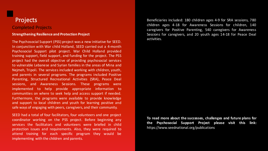## Projects Completed Projects

#### **Strengthening Resilience and Protection Project**

The Psychosocial Support (PSS) project was a new initiative for SEED. In conjunction with War child Holland, SEED carried out a 4-month Psychosocial Support pilot project. War Child Holland provided training support, field support, and funding for the project. The PSS project had the overall objective of providing psychosocial services to vulnerable Lebanese and Syrian families in the areas of Mina and Nejmeh, Tripoli. The services included working with children, youth, and parents in several programs. The programs included Positive Parenting, Structured Recreational Activities (SRA), Peace Deal sessions, and Awareness Sessions. These programs were implemented to help provide appropriate information to communities on where to seek help and access support if needed. Furthermore, the programs were available to provide knowledge and support to local children and youth for learning positive and safe ways of engaging with peers, caregivers, and their community.

SEED had a total of four facilitators, four volunteers and one project coordinator working on the PSS project. Before beginning any services the facilitators and volunteers were briefed in child protection issues and requirements. Also, they were required to attend training for each specific program they would be implementing with the children and parents.

Beneficiaries included: 180 children ages 4-9 for SRA sessions, 780 children ages 4-18 for Awareness Sessions for children, 140 caregivers for Positive Parenting, 540 caregivers for Awareness Sessions for caregivers, and 20 youth ages 14-18 for Peace Deal activities.

**To read more about the successes, challenges and future plans for the Psychosocial Support Project please visit this link:** https://www.seednational.org/publications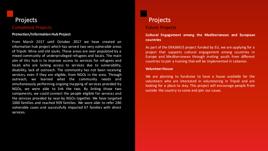## Completed Projects

#### **Protection/Information Hub Project**

From March 2017 until October 2017 we have created an information hub project which has served two very vulnerable areas of Tripoli: Mina and old souks. These areas are over populated by a mixed community of underprivileged refugees and locals. The main aim of this hub is to improve access to services for refugees and locals who are lacking access to services due to vulnerability, disability, lack of outreach. The community has not been receiving services, even if they are eligible, from NGOs in the area. Through outreach, we learned what the community needs and simultaneously performing ongoing mapping of services provided by NGOs, we were able to link the two. By linking those two components, we could connect the people eligible for services and the services provided by near-by NGOs together. We have targeted 1000 families and reached 909 families. We were able to refer 280 vulnerable cases and successfully impacted 67 families with direct services.

# Projects

### **Future Projects**

**Cultural Engagement among the Mediterranean and European countries**

As part of the ERASMUS project funded by EU, we are applying for a project that supports cultural engagement among countries in Europe and Mediterranean through inviting youth from different countries to join a training that will be implemented in Lebanon.

#### **VolunteerHouse**

We are planning to fundraise to have a house available for the volunteers who are interested in volunteering in Tripoli and are looking for a place to stay. This project will encourage people from outside the country to come and join our cause.